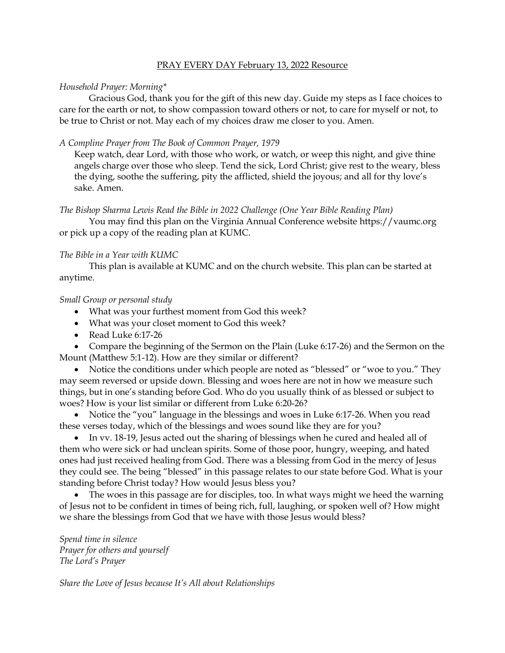### PRAY EVERY DAY February 13, 2022 Resource

## *Household Prayer: Morning\**

Gracious God, thank you for the gift of this new day. Guide my steps as I face choices to care for the earth or not, to show compassion toward others or not, to care for myself or not, to be true to Christ or not. May each of my choices draw me closer to you. Amen.

# *A Compline Prayer from The Book of Common Prayer, 1979*

Keep watch, dear Lord, with those who work, or watch, or weep this night, and give thine angels charge over those who sleep. Tend the sick, Lord Christ; give rest to the weary, bless the dying, soothe the suffering, pity the afflicted, shield the joyous; and all for thy love's sake. Amen.

#### *The Bishop Sharma Lewis Read the Bible in 2022 Challenge (One Year Bible Reading Plan)*

You may find this plan on the Virginia Annual Conference website [https://vaumc.org](https://vaumc.org/) or pick up a copy of the reading plan at KUMC.

## *The Bible in a Year with KUMC*

This plan is available at KUMC and on the church website. This plan can be started at anytime.

## *Small Group or personal study*

- What was your furthest moment from God this week?
- What was your closet moment to God this week?
- Read Luke 6:17-26

• Compare the beginning of the Sermon on the Plain (Luke 6:17-26) and the Sermon on the Mount (Matthew 5:1-12). How are they similar or different?

• Notice the conditions under which people are noted as "blessed" or "woe to you." They may seem reversed or upside down. Blessing and woes here are not in how we measure such things, but in one's standing before God. Who do you usually think of as blessed or subject to woes? How is your list similar or different from Luke 6:20-26?

• Notice the "you" language in the blessings and woes in Luke 6:17-26. When you read these verses today, which of the blessings and woes sound like they are for you?

• In vv. 18-19, Jesus acted out the sharing of blessings when he cured and healed all of them who were sick or had unclean spirits. Some of those poor, hungry, weeping, and hated ones had just received healing from God. There was a blessing from God in the mercy of Jesus they could see. The being "blessed" in this passage relates to our state before God. What is your standing before Christ today? How would Jesus bless you?

• The woes in this passage are for disciples, too. In what ways might we heed the warning of Jesus not to be confident in times of being rich, full, laughing, or spoken well of? How might we share the blessings from God that we have with those Jesus would bless?

*Spend time in silence Prayer for others and yourself The Lord's Prayer*

*Share the Love of Jesus because It's All about Relationships*